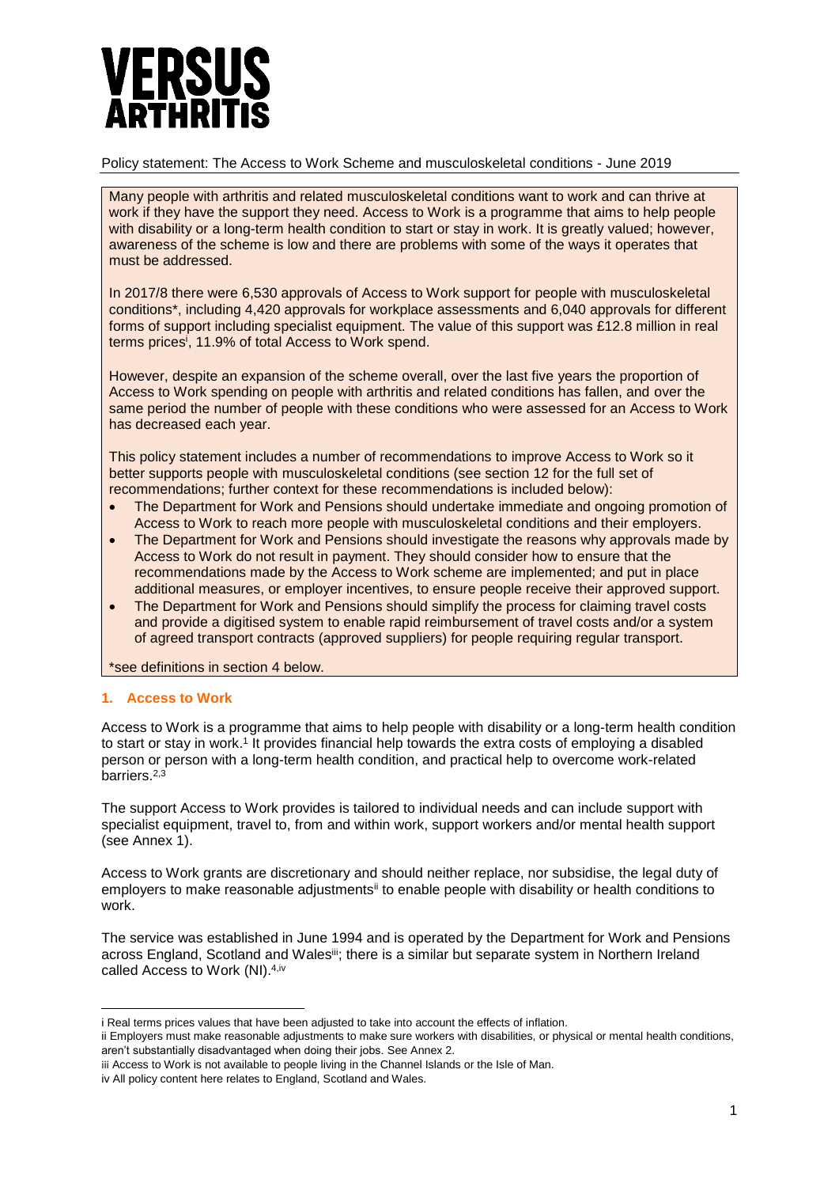# PTHR

# Policy statement: The Access to Work Scheme and musculoskeletal conditions - June 2019

Many people with arthritis and related musculoskeletal conditions want to work and can thrive at work if they have the support they need. Access to Work is a programme that aims to help people with disability or a long-term health condition to start or stay in work. It is greatly valued; however, awareness of the scheme is low and there are problems with some of the ways it operates that must be addressed.

In 2017/8 there were 6,530 approvals of Access to Work support for people with musculoskeletal conditions\*, including 4,420 approvals for workplace assessments and 6,040 approvals for different forms of support including specialist equipment. The value of this support was £12.8 million in real terms prices<sup>i</sup> , 11.9% of total Access to Work spend.

However, despite an expansion of the scheme overall, over the last five years the proportion of Access to Work spending on people with arthritis and related conditions has fallen, and over the same period the number of people with these conditions who were assessed for an Access to Work has decreased each year.

This policy statement includes a number of recommendations to improve Access to Work so it better supports people with musculoskeletal conditions (see section 12 for the full set of recommendations; further context for these recommendations is included below):

- The Department for Work and Pensions should undertake immediate and ongoing promotion of Access to Work to reach more people with musculoskeletal conditions and their employers.
- The Department for Work and Pensions should investigate the reasons why approvals made by Access to Work do not result in payment. They should consider how to ensure that the recommendations made by the Access to Work scheme are implemented; and put in place additional measures, or employer incentives, to ensure people receive their approved support.
- The Department for Work and Pensions should simplify the process for claiming travel costs and provide a digitised system to enable rapid reimbursement of travel costs and/or a system of agreed transport contracts (approved suppliers) for people requiring regular transport.

\*see definitions in section 4 below.

# **1. Access to Work**

Access to Work is a programme that aims to help people with disability or a long-term health condition to start or stay in work.<sup>1</sup> It provides financial help towards the extra costs of employing a disabled person or person with a long-term health condition, and practical help to overcome work-related barriers.<sup>2,3</sup>

The support Access to Work provides is tailored to individual needs and can include support with specialist equipment, travel to, from and within work, support workers and/or mental health support (see Annex 1).

Access to Work grants are discretionary and should neither replace, nor subsidise, the legal duty of employers to make reasonable adjustmentsii to enable people with disability or health conditions to work.

The service was established in June 1994 and is operated by the Department for Work and Pensions across England, Scotland and Wales<sup>iii</sup>; there is a similar but separate system in Northern Ireland called Access to Work (NI).<sup>4,iv</sup>

 $\overline{a}$ i Real terms prices values that have been adjusted to take into account the effects of inflation.

ii Employers must make reasonable adjustments to make sure workers with disabilities, or physical or mental health conditions, aren't substantially disadvantaged when doing their jobs. See Annex 2.

iii Access to Work is not available to people living in the Channel Islands or the Isle of Man.

iv All policy content here relates to England, Scotland and Wales.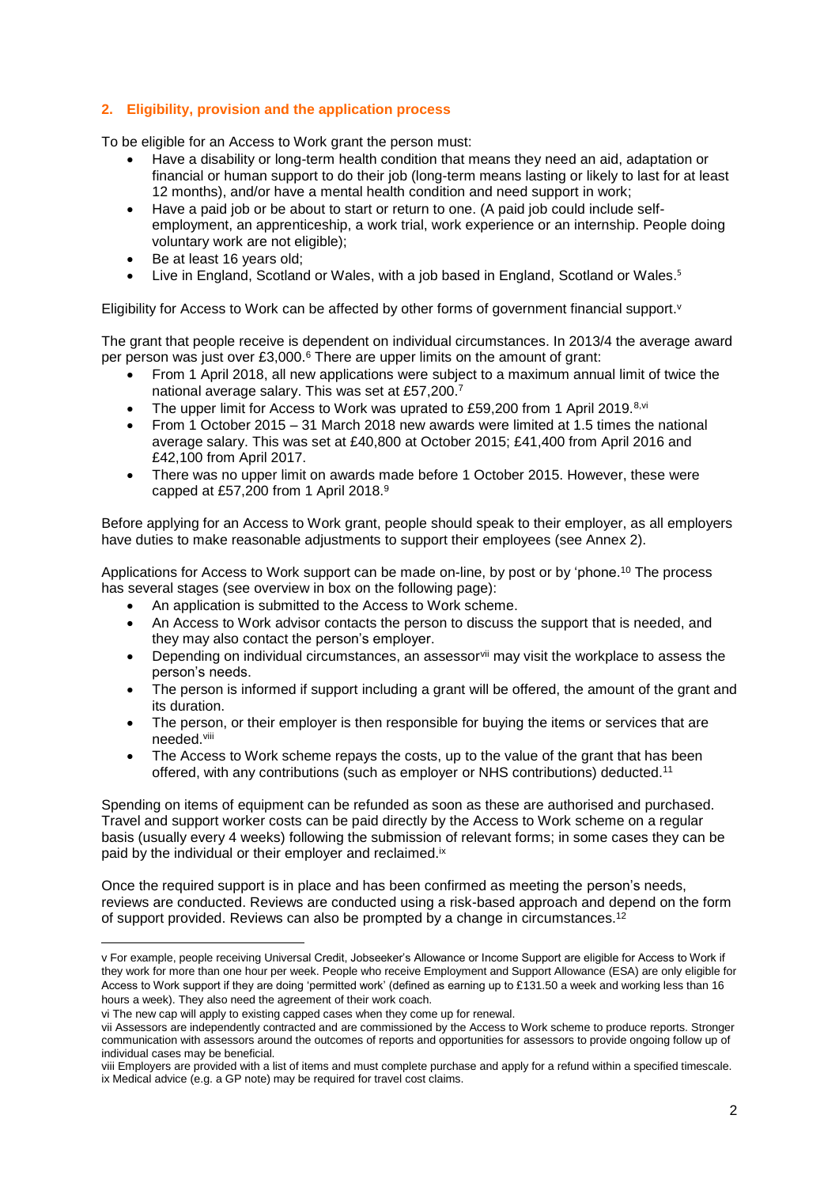# **2. Eligibility, provision and the application process**

To be eligible for an Access to Work grant the person must:

- Have a disability or long-term health condition that means they need an aid, adaptation or financial or human support to do their job (long-term means lasting or likely to last for at least 12 months), and/or have a mental health condition and need support in work;
- Have a paid job or be about to start or return to one. (A paid job could include selfemployment, an apprenticeship, a work trial, work experience or an internship. People doing voluntary work are not eligible);
- Be at least 16 years old;
- Live in England, Scotland or Wales, with a job based in England, Scotland or Wales.<sup>5</sup>

Eligibility for Access to Work can be affected by other forms of government financial support. v

The grant that people receive is dependent on individual circumstances. In 2013/4 the average award per person was just over £3,000.<sup>6</sup> There are upper limits on the amount of grant:

- From 1 April 2018, all new applications were subject to a maximum annual limit of twice the national average salary. This was set at £57,200. 7
- The upper limit for Access to Work was uprated to £59,200 from 1 April 2019.<sup>8,vi</sup>
- From 1 October 2015 31 March 2018 new awards were limited at 1.5 times the national average salary. This was set at £40,800 at October 2015; £41,400 from April 2016 and £42,100 from April 2017.
- There was no upper limit on awards made before 1 October 2015. However, these were capped at £57,200 from 1 April 2018.<sup>9</sup>

Before applying for an Access to Work grant, people should speak to their employer, as all employers have duties to make reasonable adjustments to support their employees (see Annex 2).

Applications for Access to Work support can be made on-line, by post or by 'phone.<sup>10</sup> The process has several stages (see overview in box on the following page):

- An application is submitted to the Access to Work scheme.
- An Access to Work advisor contacts the person to discuss the support that is needed, and they may also contact the person's employer.
- Depending on individual circumstances, an assessor<sup>vii</sup> may visit the workplace to assess the person's needs.
- The person is informed if support including a grant will be offered, the amount of the grant and its duration.
- The person, or their employer is then responsible for buying the items or services that are needed.viii
- The Access to Work scheme repays the costs, up to the value of the grant that has been offered, with any contributions (such as employer or NHS contributions) deducted.<sup>11</sup>

Spending on items of equipment can be refunded as soon as these are authorised and purchased. Travel and support worker costs can be paid directly by the Access to Work scheme on a regular basis (usually every 4 weeks) following the submission of relevant forms; in some cases they can be paid by the individual or their employer and reclaimed.<sup>ix</sup>

Once the required support is in place and has been confirmed as meeting the person's needs, reviews are conducted. Reviews are conducted using a risk-based approach and depend on the form of support provided. Reviews can also be prompted by a change in circumstances.<sup>12</sup>

**.** 

v For example, people receiving Universal Credit, Jobseeker's Allowance or Income Support are eligible for Access to Work if they work for more than one hour per week. People who receive Employment and Support Allowance (ESA) are only eligible for Access to Work support if they are doing 'permitted work' (defined as earning up to £131.50 a week and working less than 16 hours a week). They also need the agreement of their work coach.

vi The new cap will apply to existing capped cases when they come up for renewal.

vii Assessors are independently contracted and are commissioned by the Access to Work scheme to produce reports. Stronger communication with assessors around the outcomes of reports and opportunities for assessors to provide ongoing follow up of individual cases may be beneficial.

viii Employers are provided with a list of items and must complete purchase and apply for a refund within a specified timescale. ix Medical advice (e.g. a GP note) may be required for travel cost claims.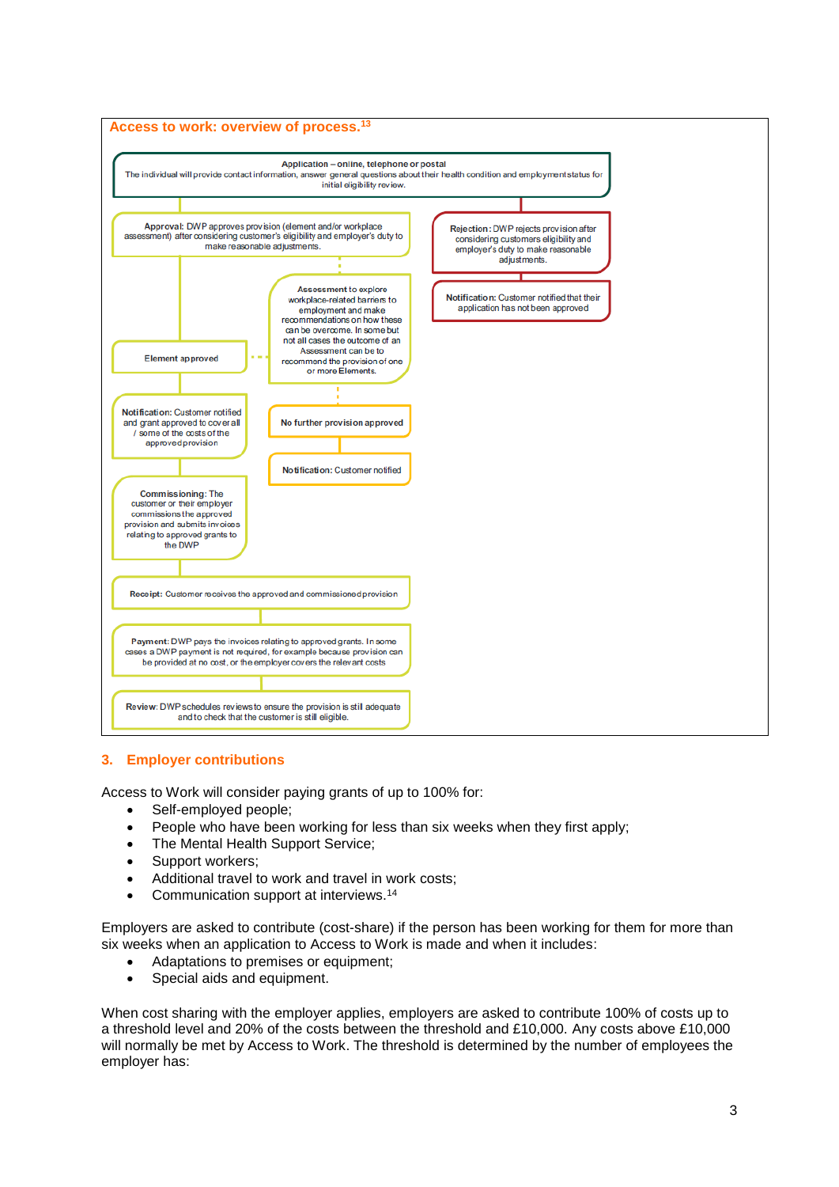

# **3. Employer contributions**

Access to Work will consider paying grants of up to 100% for:

- Self-employed people;
- People who have been working for less than six weeks when they first apply;
- The Mental Health Support Service:
- Support workers:
- Additional travel to work and travel in work costs;
- Communication support at interviews.<sup>14</sup>

Employers are asked to contribute (cost-share) if the person has been working for them for more than six weeks when an application to Access to Work is made and when it includes:

- Adaptations to premises or equipment:
- Special aids and equipment.

When cost sharing with the employer applies, employers are asked to contribute 100% of costs up to a threshold level and 20% of the costs between the threshold and £10,000. Any costs above £10,000 will normally be met by Access to Work. The threshold is determined by the number of employees the employer has: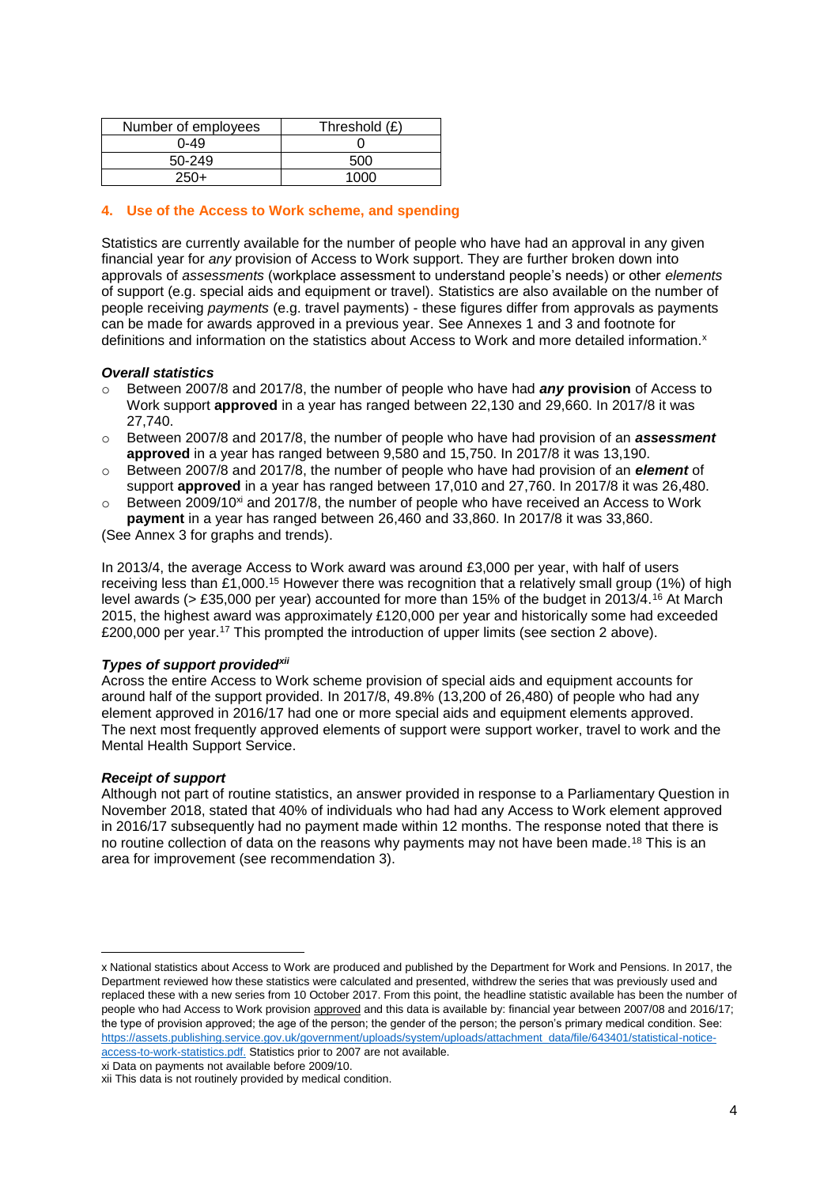| Number of employees | Threshold (£) |
|---------------------|---------------|
| $0 - 49$            |               |
| 50-249              | 500           |
| $250+$              | 1ሰሰሰ          |

# **4. Use of the Access to Work scheme, and spending**

Statistics are currently available for the number of people who have had an approval in any given financial year for *any* provision of Access to Work support. They are further broken down into approvals of *assessments* (workplace assessment to understand people's needs) or other *elements* of support (e.g. special aids and equipment or travel). Statistics are also available on the number of people receiving *payments* (e.g. travel payments) - these figures differ from approvals as payments can be made for awards approved in a previous year. See Annexes 1 and 3 and footnote for definitions and information on the statistics about Access to Work and more detailed information.<sup>x</sup>

#### *Overall statistics*

- o Between 2007/8 and 2017/8, the number of people who have had *any* **provision** of Access to Work support **approved** in a year has ranged between 22,130 and 29,660. In 2017/8 it was 27,740.
- o Between 2007/8 and 2017/8, the number of people who have had provision of an *assessment* **approved** in a year has ranged between 9,580 and 15,750. In 2017/8 it was 13,190.
- o Between 2007/8 and 2017/8, the number of people who have had provision of an *element* of support **approved** in a year has ranged between 17,010 and 27,760. In 2017/8 it was 26,480.
- $\circ$  Between 2009/10<sup>xi</sup> and 2017/8, the number of people who have received an Access to Work **payment** in a year has ranged between 26,460 and 33,860. In 2017/8 it was 33,860.

(See Annex 3 for graphs and trends).

In 2013/4, the average Access to Work award was around £3,000 per year, with half of users receiving less than £1,000.<sup>15</sup> However there was recognition that a relatively small group (1%) of high level awards (> £35,000 per year) accounted for more than 15% of the budget in 2013/4.<sup>16</sup> At March 2015, the highest award was approximately £120,000 per year and historically some had exceeded £200,000 per year.<sup>17</sup> This prompted the introduction of upper limits (see section 2 above).

## *Types of support providedxii*

Across the entire Access to Work scheme provision of special aids and equipment accounts for around half of the support provided. In 2017/8, 49.8% (13,200 of 26,480) of people who had any element approved in 2016/17 had one or more special aids and equipment elements approved. The next most frequently approved elements of support were support worker, travel to work and the Mental Health Support Service.

## *Receipt of support*

**.** 

Although not part of routine statistics, an answer provided in response to a Parliamentary Question in November 2018, stated that 40% of individuals who had had any Access to Work element approved in 2016/17 subsequently had no payment made within 12 months. The response noted that there is no routine collection of data on the reasons why payments may not have been made.<sup>18</sup> This is an area for improvement (see recommendation 3).

xi Data on payments not available before 2009/10.

x National statistics about Access to Work are produced and published by the Department for Work and Pensions. In 2017, the Department reviewed how these statistics were calculated and presented, withdrew the series that was previously used and replaced these with a new series from 10 October 2017. From this point, the headline statistic available has been the number of people who had Access to Work provision approved and this data is available by: financial year between 2007/08 and 2016/17; the type of provision approved; the age of the person; the gender of the person; the person's primary medical condition. See: [https://assets.publishing.service.gov.uk/government/uploads/system/uploads/attachment\\_data/file/643401/statistical-notice](https://assets.publishing.service.gov.uk/government/uploads/system/uploads/attachment_data/file/643401/statistical-notice-access-to-work-statistics.pdf)[access-to-work-statistics.pdf.](https://assets.publishing.service.gov.uk/government/uploads/system/uploads/attachment_data/file/643401/statistical-notice-access-to-work-statistics.pdf) Statistics prior to 2007 are not available.

xii This data is not routinely provided by medical condition.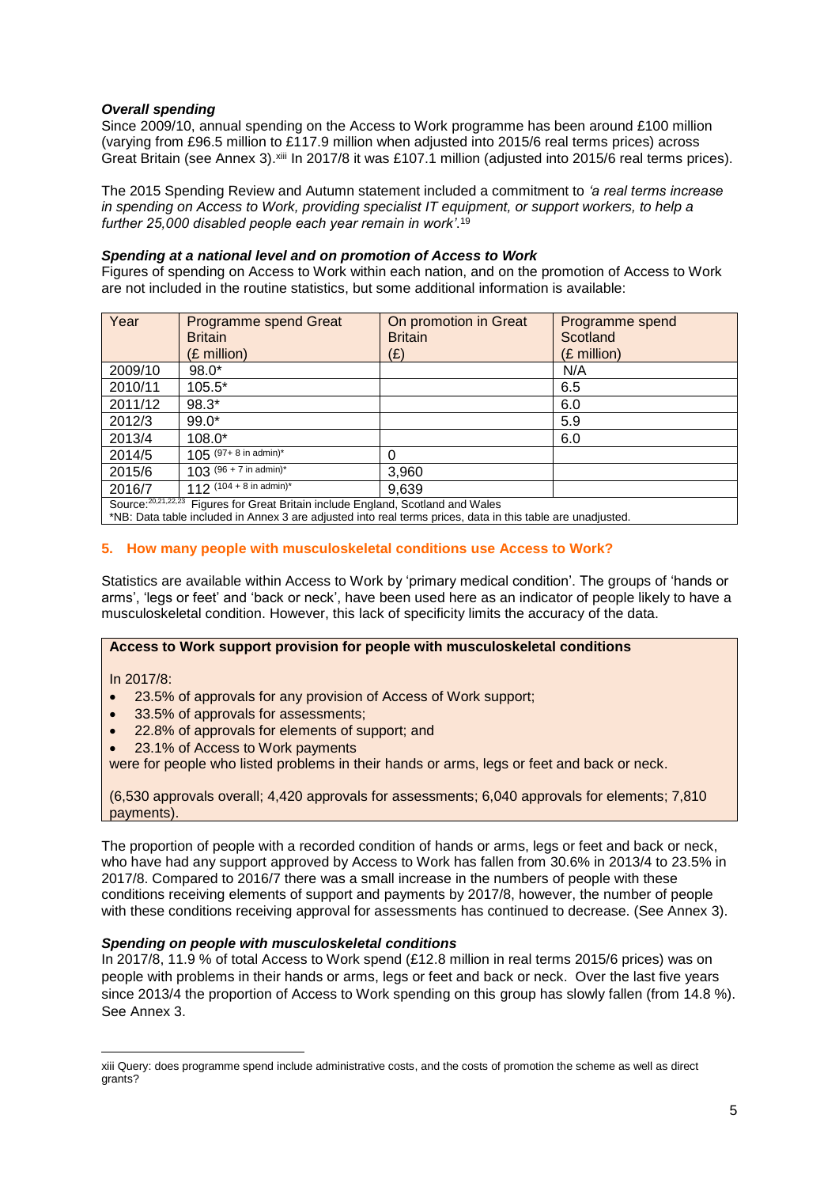# *Overall spending*

Since 2009/10, annual spending on the Access to Work programme has been around £100 million (varying from £96.5 million to £117.9 million when adjusted into 2015/6 real terms prices) across Great Britain (see Annex 3). Xiii In 2017/8 it was £107.1 million (adjusted into 2015/6 real terms prices).

The 2015 Spending Review and Autumn statement included a commitment to *'a real terms increase in spending on Access to Work, providing specialist IT equipment, or support workers, to help a further 25,000 disabled people each year remain in work'*. 19

## *Spending at a national level and on promotion of Access to Work*

Figures of spending on Access to Work within each nation, and on the promotion of Access to Work are not included in the routine statistics, but some additional information is available:

| Year                                                                              | Programme spend Great              | On promotion in Great | Programme spend |
|-----------------------------------------------------------------------------------|------------------------------------|-----------------------|-----------------|
|                                                                                   | <b>Britain</b>                     | <b>Britain</b>        | Scotland        |
|                                                                                   | (£ million)                        | (E)                   | (£ million)     |
| 2009/10                                                                           | $98.0*$                            |                       | N/A             |
| 2010/11                                                                           | $105.5*$                           |                       | 6.5             |
| 2011/12                                                                           | $98.3*$                            |                       | 6.0             |
| 2012/3                                                                            | $99.0*$                            |                       | 5.9             |
| 2013/4                                                                            | $108.0*$                           |                       | 6.0             |
| 2014/5                                                                            | $105$ (97+ 8 in admin)*            | 0                     |                 |
| 2015/6                                                                            | $103$ (96 + 7 in admin)*           | 3,960                 |                 |
| 2016/7                                                                            | 112 $(104 + 8 \text{ in admin})^*$ | 9,639                 |                 |
| Source: 20,21,22,23 Figures for Great Britain include England, Scotland and Wales |                                    |                       |                 |

\*NB: Data table included in Annex 3 are adjusted into real terms prices, data in this table are unadjusted.

## **5. How many people with musculoskeletal conditions use Access to Work?**

Statistics are available within Access to Work by 'primary medical condition'. The groups of 'hands or arms', 'legs or feet' and 'back or neck', have been used here as an indicator of people likely to have a musculoskeletal condition. However, this lack of specificity limits the accuracy of the data.

## **Access to Work support provision for people with musculoskeletal conditions**

In 2017/8:

**.** 

- 23.5% of approvals for any provision of Access of Work support;
- 33.5% of approvals for assessments;
- 22.8% of approvals for elements of support; and
- 23.1% of Access to Work payments

were for people who listed problems in their hands or arms, legs or feet and back or neck.

(6,530 approvals overall; 4,420 approvals for assessments; 6,040 approvals for elements; 7,810 payments).

The proportion of people with a recorded condition of hands or arms, legs or feet and back or neck, who have had any support approved by Access to Work has fallen from 30.6% in 2013/4 to 23.5% in 2017/8. Compared to 2016/7 there was a small increase in the numbers of people with these conditions receiving elements of support and payments by 2017/8, however, the number of people with these conditions receiving approval for assessments has continued to decrease. (See Annex 3).

## *Spending on people with musculoskeletal conditions*

In 2017/8, 11.9 % of total Access to Work spend (£12.8 million in real terms 2015/6 prices) was on people with problems in their hands or arms, legs or feet and back or neck. Over the last five years since 2013/4 the proportion of Access to Work spending on this group has slowly fallen (from 14.8 %). See Annex 3.

xiii Query: does programme spend include administrative costs, and the costs of promotion the scheme as well as direct grants?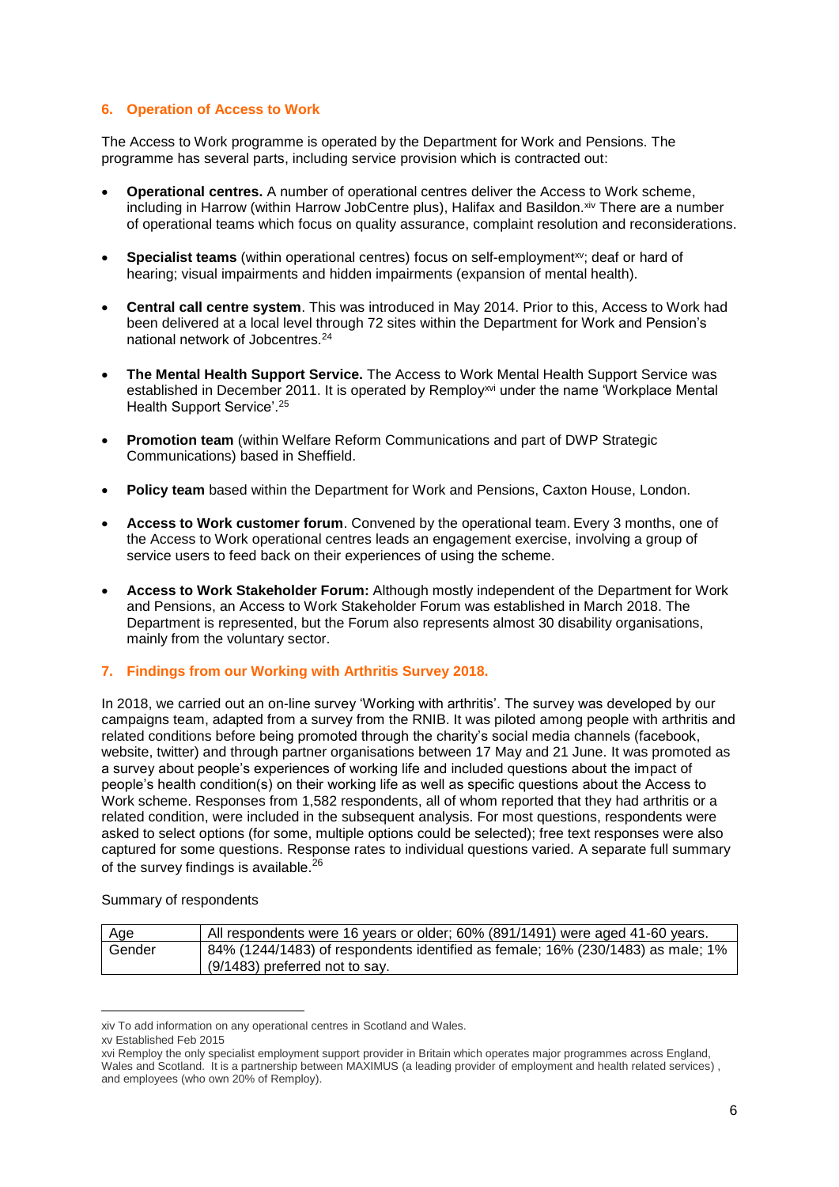# **6. Operation of Access to Work**

The Access to Work programme is operated by the Department for Work and Pensions. The programme has several parts, including service provision which is contracted out:

- **Operational centres.** A number of operational centres deliver the Access to Work scheme, including in Harrow (within Harrow JobCentre plus), Halifax and Basildon. Xiv There are a number of operational teams which focus on quality assurance, complaint resolution and reconsiderations.
- **Specialist teams** (within operational centres) focus on self-employment<sup>xy</sup>; deaf or hard of hearing; visual impairments and hidden impairments (expansion of mental health).
- **Central call centre system**. This was introduced in May 2014. Prior to this, Access to Work had been delivered at a local level through 72 sites within the Department for Work and Pension's national network of Jobcentres.<sup>24</sup>
- **The Mental Health Support Service.** The Access to Work Mental Health Support Service was established in December 2011. It is operated by Remploy<sup>xvi</sup> under the name 'Workplace Mental Health Support Service'.<sup>25</sup>
- **Promotion team** (within Welfare Reform Communications and part of DWP Strategic Communications) based in Sheffield.
- **Policy team** based within the Department for Work and Pensions, Caxton House, London.
- **Access to Work customer forum**. Convened by the operational team. Every 3 months, one of the Access to Work operational centres leads an engagement exercise, involving a group of service users to feed back on their experiences of using the scheme.
- **Access to Work Stakeholder Forum:** Although mostly independent of the Department for Work and Pensions, an Access to Work Stakeholder Forum was established in March 2018. The Department is represented, but the Forum also represents almost 30 disability organisations, mainly from the voluntary sector.

# **7. Findings from our Working with Arthritis Survey 2018.**

In 2018, we carried out an on-line survey 'Working with arthritis'. The survey was developed by our campaigns team, adapted from a survey from the RNIB. It was piloted among people with arthritis and related conditions before being promoted through the charity's social media channels (facebook, website, twitter) and through partner organisations between 17 May and 21 June. It was promoted as a survey about people's experiences of working life and included questions about the impact of people's health condition(s) on their working life as well as specific questions about the Access to Work scheme. Responses from 1,582 respondents, all of whom reported that they had arthritis or a related condition, were included in the subsequent analysis. For most questions, respondents were asked to select options (for some, multiple options could be selected); free text responses were also captured for some questions. Response rates to individual questions varied. A separate full summary of the survey findings is available.<sup>26</sup>

## Summary of respondents

| Age    | All respondents were 16 years or older; 60% (891/1491) were aged 41-60 years.                                              |
|--------|----------------------------------------------------------------------------------------------------------------------------|
| Gender | $\mid$ 84% (1244/1483) of respondents identified as female; 16% (230/1483) as male; 1%<br>$(9/1483)$ preferred not to say. |
|        |                                                                                                                            |

**<sup>.</sup>** xiv To add information on any operational centres in Scotland and Wales.

xv Established Feb 2015

xvi Remploy the only specialist employment support provider in Britain which operates major programmes across England, Wales and Scotland. It is a partnership between MAXIMUS (a leading provider of employment and health related services) , and employees (who own 20% of Remploy).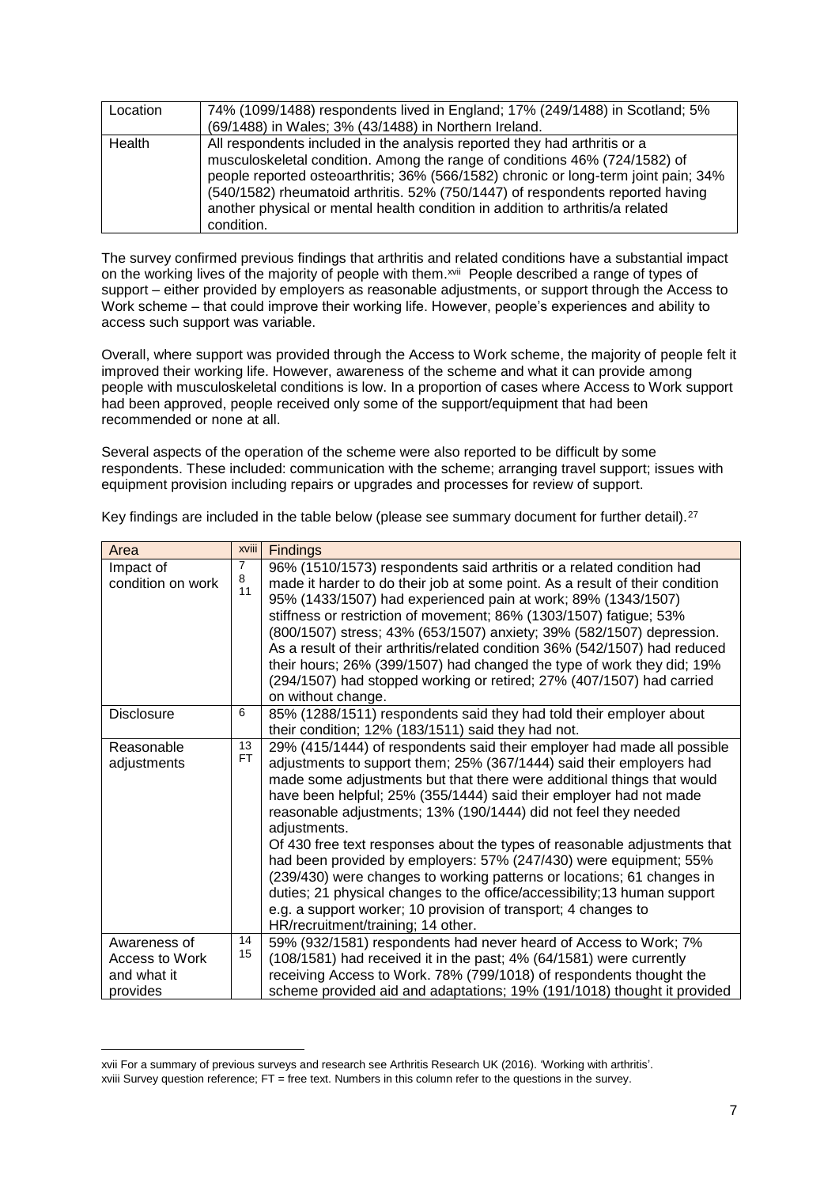| Location | 74% (1099/1488) respondents lived in England; 17% (249/1488) in Scotland; 5%<br>(69/1488) in Wales; 3% (43/1488) in Northern Ireland.                                                                                                                                                                                                                                                                                            |
|----------|----------------------------------------------------------------------------------------------------------------------------------------------------------------------------------------------------------------------------------------------------------------------------------------------------------------------------------------------------------------------------------------------------------------------------------|
| Health   | All respondents included in the analysis reported they had arthritis or a<br>musculoskeletal condition. Among the range of conditions 46% (724/1582) of<br>people reported osteoarthritis; 36% (566/1582) chronic or long-term joint pain; 34%<br>(540/1582) rheumatoid arthritis. 52% (750/1447) of respondents reported having<br>another physical or mental health condition in addition to arthritis/a related<br>condition. |

The survey confirmed previous findings that arthritis and related conditions have a substantial impact on the working lives of the majority of people with them.<sup>xvii</sup> People described a range of types of support – either provided by employers as reasonable adjustments, or support through the Access to Work scheme – that could improve their working life. However, people's experiences and ability to access such support was variable.

Overall, where support was provided through the Access to Work scheme, the majority of people felt it improved their working life. However, awareness of the scheme and what it can provide among people with musculoskeletal conditions is low. In a proportion of cases where Access to Work support had been approved, people received only some of the support/equipment that had been recommended or none at all.

Several aspects of the operation of the scheme were also reported to be difficult by some respondents. These included: communication with the scheme; arranging travel support; issues with equipment provision including repairs or upgrades and processes for review of support.

| Area                           | <b>xviii</b>    | <b>Findings</b>                                                                                                                                                                                                                                                                                                                                                                                                                                                                                                                                                                                                                                                                                                                                                                                     |
|--------------------------------|-----------------|-----------------------------------------------------------------------------------------------------------------------------------------------------------------------------------------------------------------------------------------------------------------------------------------------------------------------------------------------------------------------------------------------------------------------------------------------------------------------------------------------------------------------------------------------------------------------------------------------------------------------------------------------------------------------------------------------------------------------------------------------------------------------------------------------------|
| Impact of<br>condition on work | 7<br>8<br>11    | 96% (1510/1573) respondents said arthritis or a related condition had<br>made it harder to do their job at some point. As a result of their condition<br>95% (1433/1507) had experienced pain at work; 89% (1343/1507)<br>stiffness or restriction of movement; 86% (1303/1507) fatigue; 53%<br>(800/1507) stress; 43% (653/1507) anxiety; 39% (582/1507) depression.<br>As a result of their arthritis/related condition 36% (542/1507) had reduced<br>their hours; 26% (399/1507) had changed the type of work they did; 19%<br>(294/1507) had stopped working or retired; 27% (407/1507) had carried<br>on without change.                                                                                                                                                                       |
| <b>Disclosure</b>              | 6               | 85% (1288/1511) respondents said they had told their employer about<br>their condition; 12% (183/1511) said they had not.                                                                                                                                                                                                                                                                                                                                                                                                                                                                                                                                                                                                                                                                           |
| Reasonable<br>adjustments      | 13<br><b>FT</b> | 29% (415/1444) of respondents said their employer had made all possible<br>adjustments to support them; 25% (367/1444) said their employers had<br>made some adjustments but that there were additional things that would<br>have been helpful; 25% (355/1444) said their employer had not made<br>reasonable adjustments; 13% (190/1444) did not feel they needed<br>adjustments.<br>Of 430 free text responses about the types of reasonable adjustments that<br>had been provided by employers: 57% (247/430) were equipment; 55%<br>(239/430) were changes to working patterns or locations; 61 changes in<br>duties; 21 physical changes to the office/accessibility; 13 human support<br>e.g. a support worker; 10 provision of transport; 4 changes to<br>HR/recruitment/training; 14 other. |
| Awareness of<br>Access to Work | 14<br>15        | 59% (932/1581) respondents had never heard of Access to Work; 7%<br>(108/1581) had received it in the past; 4% (64/1581) were currently                                                                                                                                                                                                                                                                                                                                                                                                                                                                                                                                                                                                                                                             |
| and what it<br>provides        |                 | receiving Access to Work. 78% (799/1018) of respondents thought the<br>scheme provided aid and adaptations; 19% (191/1018) thought it provided                                                                                                                                                                                                                                                                                                                                                                                                                                                                                                                                                                                                                                                      |

Key findings are included in the table below (please see summary document for further detail).<sup>27</sup>

1

xvii For a summary of previous surveys and research see Arthritis Research UK (2016). 'Working with arthritis'. xviii Survey question reference; FT = free text. Numbers in this column refer to the questions in the survey.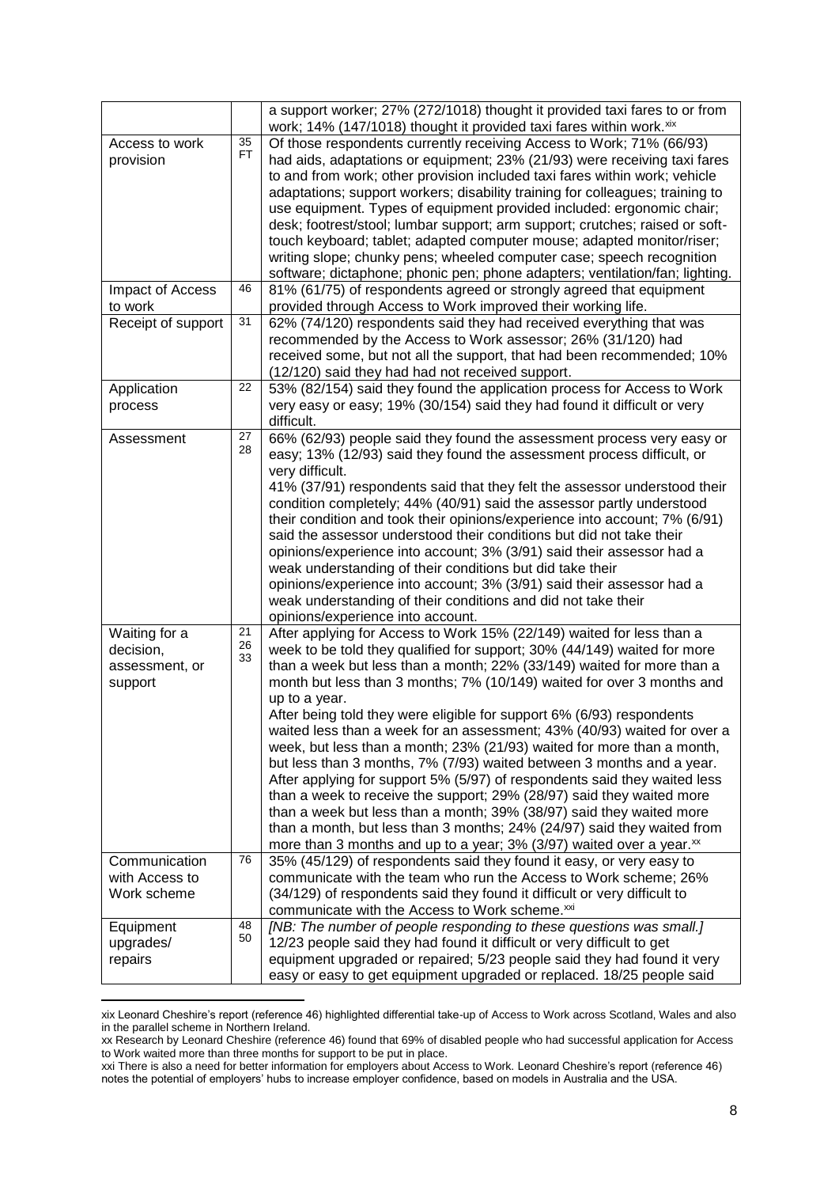|                                                         |                              | a support worker; 27% (272/1018) thought it provided taxi fares to or from<br>work; 14% (147/1018) thought it provided taxi fares within work. xix                                                                                                                                                                                                                                                                                                                                                                                                                                                                                                                                                                                                                                                                                                                                                                                                                                                                          |
|---------------------------------------------------------|------------------------------|-----------------------------------------------------------------------------------------------------------------------------------------------------------------------------------------------------------------------------------------------------------------------------------------------------------------------------------------------------------------------------------------------------------------------------------------------------------------------------------------------------------------------------------------------------------------------------------------------------------------------------------------------------------------------------------------------------------------------------------------------------------------------------------------------------------------------------------------------------------------------------------------------------------------------------------------------------------------------------------------------------------------------------|
| Access to work<br>provision                             | $\overline{35}$<br><b>FT</b> | Of those respondents currently receiving Access to Work; 71% (66/93)<br>had aids, adaptations or equipment; 23% (21/93) were receiving taxi fares<br>to and from work; other provision included taxi fares within work; vehicle<br>adaptations; support workers; disability training for colleagues; training to<br>use equipment. Types of equipment provided included: ergonomic chair;<br>desk; footrest/stool; lumbar support; arm support; crutches; raised or soft-<br>touch keyboard; tablet; adapted computer mouse; adapted monitor/riser;<br>writing slope; chunky pens; wheeled computer case; speech recognition<br>software; dictaphone; phonic pen; phone adapters; ventilation/fan; lighting.                                                                                                                                                                                                                                                                                                                |
| Impact of Access<br>to work                             | 46                           | 81% (61/75) of respondents agreed or strongly agreed that equipment<br>provided through Access to Work improved their working life.                                                                                                                                                                                                                                                                                                                                                                                                                                                                                                                                                                                                                                                                                                                                                                                                                                                                                         |
| Receipt of support                                      | 31                           | 62% (74/120) respondents said they had received everything that was<br>recommended by the Access to Work assessor; 26% (31/120) had<br>received some, but not all the support, that had been recommended; 10%<br>(12/120) said they had had not received support.                                                                                                                                                                                                                                                                                                                                                                                                                                                                                                                                                                                                                                                                                                                                                           |
| Application<br>process                                  | 22                           | 53% (82/154) said they found the application process for Access to Work<br>very easy or easy; 19% (30/154) said they had found it difficult or very<br>difficult.                                                                                                                                                                                                                                                                                                                                                                                                                                                                                                                                                                                                                                                                                                                                                                                                                                                           |
| Assessment                                              | 27<br>28                     | 66% (62/93) people said they found the assessment process very easy or<br>easy; 13% (12/93) said they found the assessment process difficult, or<br>very difficult.<br>41% (37/91) respondents said that they felt the assessor understood their<br>condition completely; 44% (40/91) said the assessor partly understood<br>their condition and took their opinions/experience into account; 7% (6/91)<br>said the assessor understood their conditions but did not take their<br>opinions/experience into account; 3% (3/91) said their assessor had a<br>weak understanding of their conditions but did take their<br>opinions/experience into account; 3% (3/91) said their assessor had a<br>weak understanding of their conditions and did not take their<br>opinions/experience into account.                                                                                                                                                                                                                        |
| Waiting for a<br>decision,<br>assessment, or<br>support | 21<br>26<br>33               | After applying for Access to Work 15% (22/149) waited for less than a<br>week to be told they qualified for support; 30% (44/149) waited for more<br>than a week but less than a month; 22% (33/149) waited for more than a<br>month but less than 3 months; 7% (10/149) waited for over 3 months and<br>up to a year.<br>After being told they were eligible for support 6% (6/93) respondents<br>waited less than a week for an assessment; 43% (40/93) waited for over a<br>week, but less than a month; 23% (21/93) waited for more than a month,<br>but less than 3 months, 7% (7/93) waited between 3 months and a year.<br>After applying for support 5% (5/97) of respondents said they waited less<br>than a week to receive the support; 29% (28/97) said they waited more<br>than a week but less than a month; 39% (38/97) said they waited more<br>than a month, but less than 3 months; 24% (24/97) said they waited from<br>more than 3 months and up to a year; 3% (3/97) waited over a year. <sup>xx</sup> |
| Communication<br>with Access to<br>Work scheme          | 76                           | 35% (45/129) of respondents said they found it easy, or very easy to<br>communicate with the team who run the Access to Work scheme; 26%<br>(34/129) of respondents said they found it difficult or very difficult to<br>communicate with the Access to Work scheme.xxi                                                                                                                                                                                                                                                                                                                                                                                                                                                                                                                                                                                                                                                                                                                                                     |
| Equipment<br>upgrades/<br>repairs                       | 48<br>50                     | [NB: The number of people responding to these questions was small.]<br>12/23 people said they had found it difficult or very difficult to get<br>equipment upgraded or repaired; 5/23 people said they had found it very<br>easy or easy to get equipment upgraded or replaced. 18/25 people said                                                                                                                                                                                                                                                                                                                                                                                                                                                                                                                                                                                                                                                                                                                           |

xix Leonard Cheshire's report (reference 46) highlighted differential take-up of Access to Work across Scotland, Wales and also in the parallel scheme in Northern Ireland.

 $\overline{a}$ 

xx Research by Leonard Cheshire (reference 46) found that 69% of disabled people who had successful application for Access to Work waited more than three months for support to be put in place.

xxi There is also a need for better information for employers about Access to Work. Leonard Cheshire's report (reference 46) notes the potential of employers' hubs to increase employer confidence, based on models in Australia and the USA.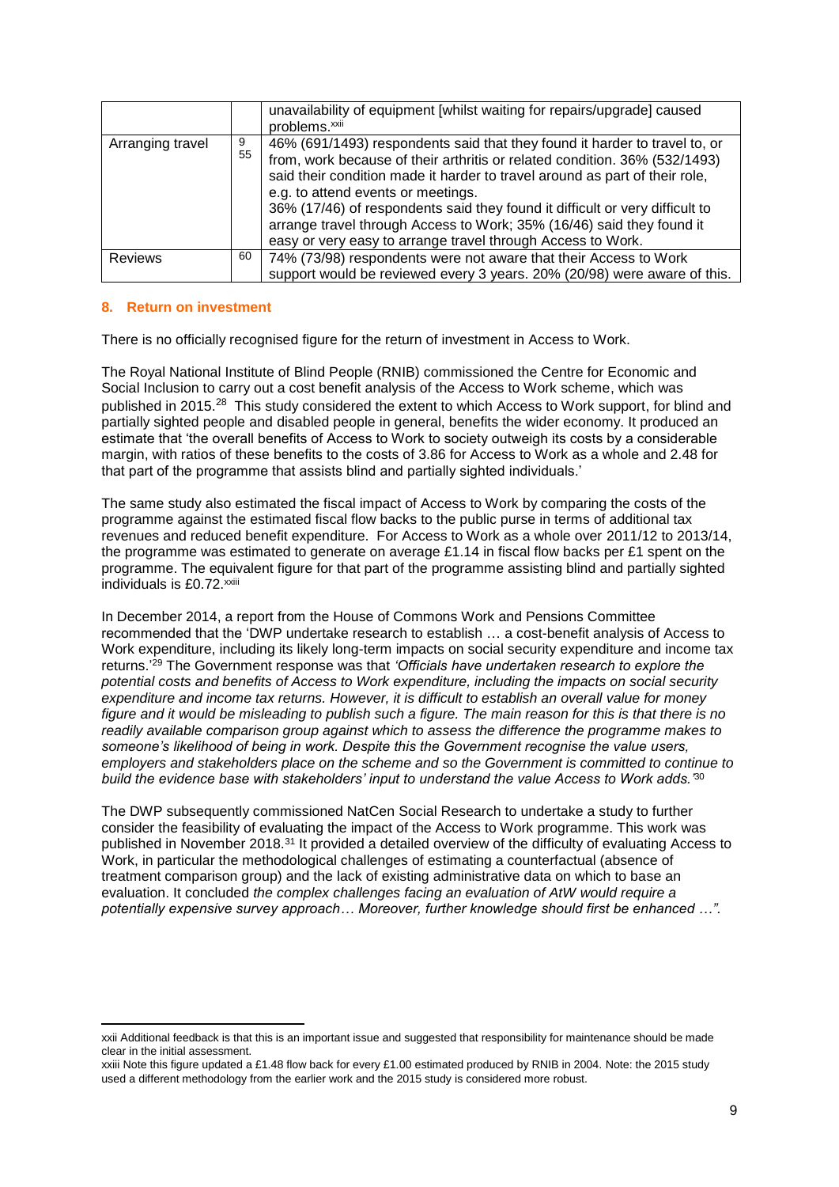|                  |         | unavailability of equipment [whilst waiting for repairs/upgrade] caused<br>problems. <sup>xxii</sup>                                                                                                                                                                                                                                                                                                                                                                                                  |
|------------------|---------|-------------------------------------------------------------------------------------------------------------------------------------------------------------------------------------------------------------------------------------------------------------------------------------------------------------------------------------------------------------------------------------------------------------------------------------------------------------------------------------------------------|
| Arranging travel | 9<br>55 | 46% (691/1493) respondents said that they found it harder to travel to, or<br>from, work because of their arthritis or related condition. 36% (532/1493)<br>said their condition made it harder to travel around as part of their role,<br>e.g. to attend events or meetings.<br>36% (17/46) of respondents said they found it difficult or very difficult to<br>arrange travel through Access to Work; 35% (16/46) said they found it<br>easy or very easy to arrange travel through Access to Work. |
| <b>Reviews</b>   | 60      | 74% (73/98) respondents were not aware that their Access to Work                                                                                                                                                                                                                                                                                                                                                                                                                                      |
|                  |         | support would be reviewed every 3 years. 20% (20/98) were aware of this.                                                                                                                                                                                                                                                                                                                                                                                                                              |

# **8. Return on investment**

1

There is no officially recognised figure for the return of investment in Access to Work.

The Royal National Institute of Blind People (RNIB) commissioned the Centre for Economic and Social Inclusion to carry out a cost benefit analysis of the Access to Work scheme, which was published in 2015.<sup>28</sup> This study considered the extent to which Access to Work support, for blind and partially sighted people and disabled people in general, benefits the wider economy. It produced an estimate that 'the overall benefits of Access to Work to society outweigh its costs by a considerable margin, with ratios of these benefits to the costs of 3.86 for Access to Work as a whole and 2.48 for that part of the programme that assists blind and partially sighted individuals.'

The same study also estimated the fiscal impact of Access to Work by comparing the costs of the programme against the estimated fiscal flow backs to the public purse in terms of additional tax revenues and reduced benefit expenditure. For Access to Work as a whole over 2011/12 to 2013/14, the programme was estimated to generate on average £1.14 in fiscal flow backs per £1 spent on the programme. The equivalent figure for that part of the programme assisting blind and partially sighted individuals is £0.72.<sup>xxiii</sup>

In December 2014, a report from the House of Commons Work and Pensions Committee recommended that the 'DWP undertake research to establish … a cost-benefit analysis of Access to Work expenditure, including its likely long-term impacts on social security expenditure and income tax returns.' <sup>29</sup> The Government response was that *'Officials have undertaken research to explore the potential costs and benefits of Access to Work expenditure, including the impacts on social security expenditure and income tax returns. However, it is difficult to establish an overall value for money figure and it would be misleading to publish such a figure. The main reason for this is that there is no readily available comparison group against which to assess the difference the programme makes to someone's likelihood of being in work. Despite this the Government recognise the value users, employers and stakeholders place on the scheme and so the Government is committed to continue to build the evidence base with stakeholders' input to understand the value Access to Work adds.'*<sup>30</sup>

The DWP subsequently commissioned NatCen Social Research to undertake a study to further consider the feasibility of evaluating the impact of the Access to Work programme. This work was published in November 2018.<sup>31</sup> It provided a detailed overview of the difficulty of evaluating Access to Work, in particular the methodological challenges of estimating a counterfactual (absence of treatment comparison group) and the lack of existing administrative data on which to base an evaluation. It concluded *the complex challenges facing an evaluation of AtW would require a potentially expensive survey approach… Moreover, further knowledge should first be enhanced …".*

xxii Additional feedback is that this is an important issue and suggested that responsibility for maintenance should be made clear in the initial assessment.

xxiii Note this figure updated a £1.48 flow back for every £1.00 estimated produced by RNIB in 2004. Note: the 2015 study used a different methodology from the earlier work and the 2015 study is considered more robust.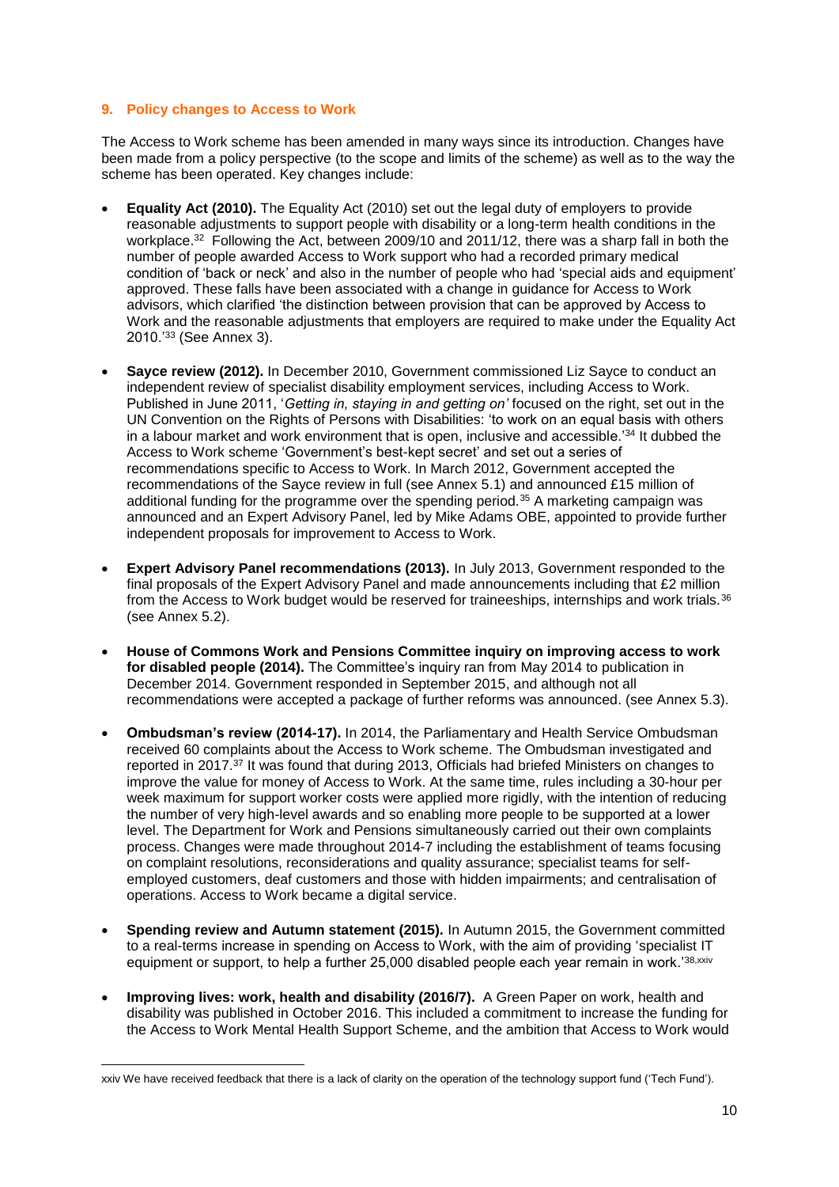## **9. Policy changes to Access to Work**

The Access to Work scheme has been amended in many ways since its introduction. Changes have been made from a policy perspective (to the scope and limits of the scheme) as well as to the way the scheme has been operated. Key changes include:

- **Equality Act (2010).** The Equality Act (2010) set out the legal duty of employers to provide reasonable adjustments to support people with disability or a long-term health conditions in the workplace.<sup>32</sup> Following the Act, between 2009/10 and 2011/12, there was a sharp fall in both the number of people awarded Access to Work support who had a recorded primary medical condition of 'back or neck' and also in the number of people who had 'special aids and equipment' approved. These falls have been associated with a change in guidance for Access to Work advisors, which clarified 'the distinction between provision that can be approved by Access to Work and the reasonable adjustments that employers are required to make under the Equality Act 2010.'<sup>33</sup> (See Annex 3).
- **Sayce review (2012).** In December 2010, Government commissioned Liz Sayce to conduct an independent review of specialist disability employment services, including Access to Work. Published in June 2011, '*Getting in, staying in and getting on'* focused on the right, set out in the UN Convention on the Rights of Persons with Disabilities: 'to work on an equal basis with others in a labour market and work environment that is open, inclusive and accessible.'<sup>34</sup> It dubbed the Access to Work scheme 'Government's best-kept secret' and set out a series of recommendations specific to Access to Work. In March 2012, Government accepted the recommendations of the Sayce review in full (see Annex 5.1) and announced £15 million of additional funding for the programme over the spending period.<sup>35</sup> A marketing campaign was announced and an Expert Advisory Panel, led by Mike Adams OBE, appointed to provide further independent proposals for improvement to Access to Work.
- **Expert Advisory Panel recommendations (2013).** In July 2013, Government responded to the final proposals of the Expert Advisory Panel and made announcements including that £2 million from the Access to Work budget would be reserved for traineeships, internships and work trials.<sup>36</sup> (see Annex 5.2).
- **House of Commons Work and Pensions Committee inquiry on improving access to work for disabled people (2014).** The Committee's inquiry ran from May 2014 to publication in December 2014. Government responded in September 2015, and although not all recommendations were accepted a package of further reforms was announced. (see Annex 5.3).
- **Ombudsman's review (2014-17).** In 2014, the Parliamentary and Health Service Ombudsman received 60 complaints about the Access to Work scheme. The Ombudsman investigated and reported in 2017.<sup>37</sup> It was found that during 2013, Officials had briefed Ministers on changes to improve the value for money of Access to Work. At the same time, rules including a 30-hour per week maximum for support worker costs were applied more rigidly, with the intention of reducing the number of very high-level awards and so enabling more people to be supported at a lower level. The Department for Work and Pensions simultaneously carried out their own complaints process. Changes were made throughout 2014-7 including the establishment of teams focusing on complaint resolutions, reconsiderations and quality assurance; specialist teams for selfemployed customers, deaf customers and those with hidden impairments; and centralisation of operations. Access to Work became a digital service.
- **Spending review and Autumn statement (2015).** In Autumn 2015, the Government committed to a real-terms increase in spending on Access to Work, with the aim of providing 'specialist IT equipment or support, to help a further 25,000 disabled people each year remain in work.<sup>'38,xxiv</sup>
- **Improving lives: work, health and disability (2016/7).** A Green Paper on work, health and disability was published in October 2016. This included a commitment to increase the funding for the Access to Work Mental Health Support Scheme, and the ambition that Access to Work would

**<sup>.</sup>** xxiv We have received feedback that there is a lack of clarity on the operation of the technology support fund ('Tech Fund').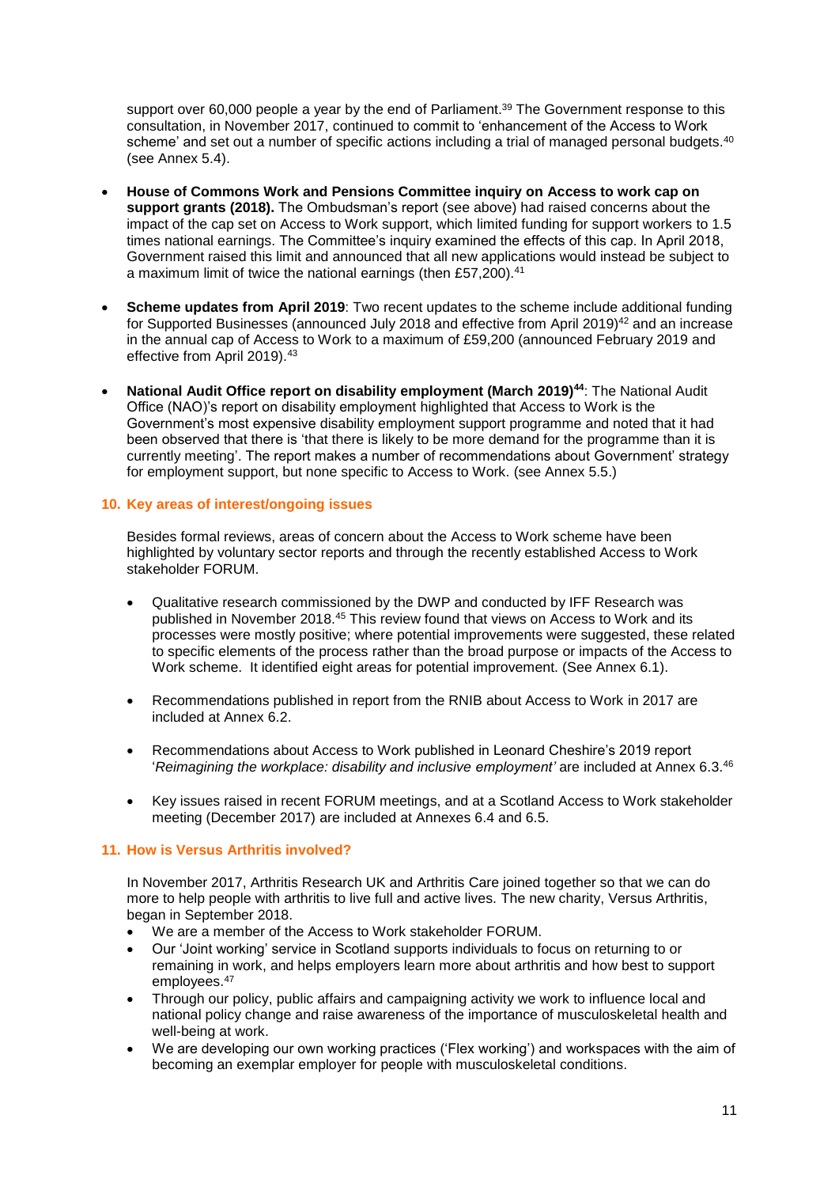support over 60,000 people a year by the end of Parliament.<sup>39</sup> The Government response to this consultation, in November 2017, continued to commit to 'enhancement of the Access to Work scheme' and set out a number of specific actions including a trial of managed personal budgets.<sup>40</sup> (see Annex 5.4).

- **House of Commons Work and Pensions Committee inquiry on Access to work cap on support grants (2018).** The Ombudsman's report (see above) had raised concerns about the impact of the cap set on Access to Work support, which limited funding for support workers to 1.5 times national earnings. The Committee's inquiry examined the effects of this cap. In April 2018, Government raised this limit and announced that all new applications would instead be subject to a maximum limit of twice the national earnings (then £57,200).<sup>41</sup>
- **Scheme updates from April 2019**: Two recent updates to the scheme include additional funding for Supported Businesses (announced July 2018 and effective from April 2019)<sup>42</sup> and an increase in the annual cap of Access to Work to a maximum of £59,200 (announced February 2019 and effective from April 2019).<sup>43</sup>
- **National Audit Office report on disability employment (March 2019)<sup>44</sup>**: The National Audit Office (NAO)'s report on disability employment highlighted that Access to Work is the Government's most expensive disability employment support programme and noted that it had been observed that there is 'that there is likely to be more demand for the programme than it is currently meeting'. The report makes a number of recommendations about Government' strategy for employment support, but none specific to Access to Work. (see Annex 5.5.)

# **10. Key areas of interest/ongoing issues**

Besides formal reviews, areas of concern about the Access to Work scheme have been highlighted by voluntary sector reports and through the recently established Access to Work stakeholder FORUM.

- Qualitative research commissioned by the DWP and conducted by IFF Research was published in November 2018.<sup>45</sup> This review found that views on Access to Work and its processes were mostly positive; where potential improvements were suggested, these related to specific elements of the process rather than the broad purpose or impacts of the Access to Work scheme. It identified eight areas for potential improvement. (See Annex 6.1).
- Recommendations published in report from the RNIB about Access to Work in 2017 are included at Annex 6.2.
- Recommendations about Access to Work published in Leonard Cheshire's 2019 report '*Reimagining the workplace: disability and inclusive employment'* are included at Annex 6.3. 46
- Key issues raised in recent FORUM meetings, and at a Scotland Access to Work stakeholder meeting (December 2017) are included at Annexes 6.4 and 6.5.

## **11. How is Versus Arthritis involved?**

In November 2017, Arthritis Research UK and Arthritis Care joined together so that we can do more to help people with arthritis to live full and active lives. The new charity, Versus Arthritis, began in September 2018.

- We are a member of the Access to Work stakeholder FORUM.
- Our 'Joint working' service in Scotland supports individuals to focus on returning to or remaining in work, and helps employers learn more about arthritis and how best to support employees.<sup>47</sup>
- Through our policy, public affairs and campaigning activity we work to influence local and national policy change and raise awareness of the importance of musculoskeletal health and well-being at work.
- We are developing our own working practices ('Flex working') and workspaces with the aim of becoming an exemplar employer for people with musculoskeletal conditions.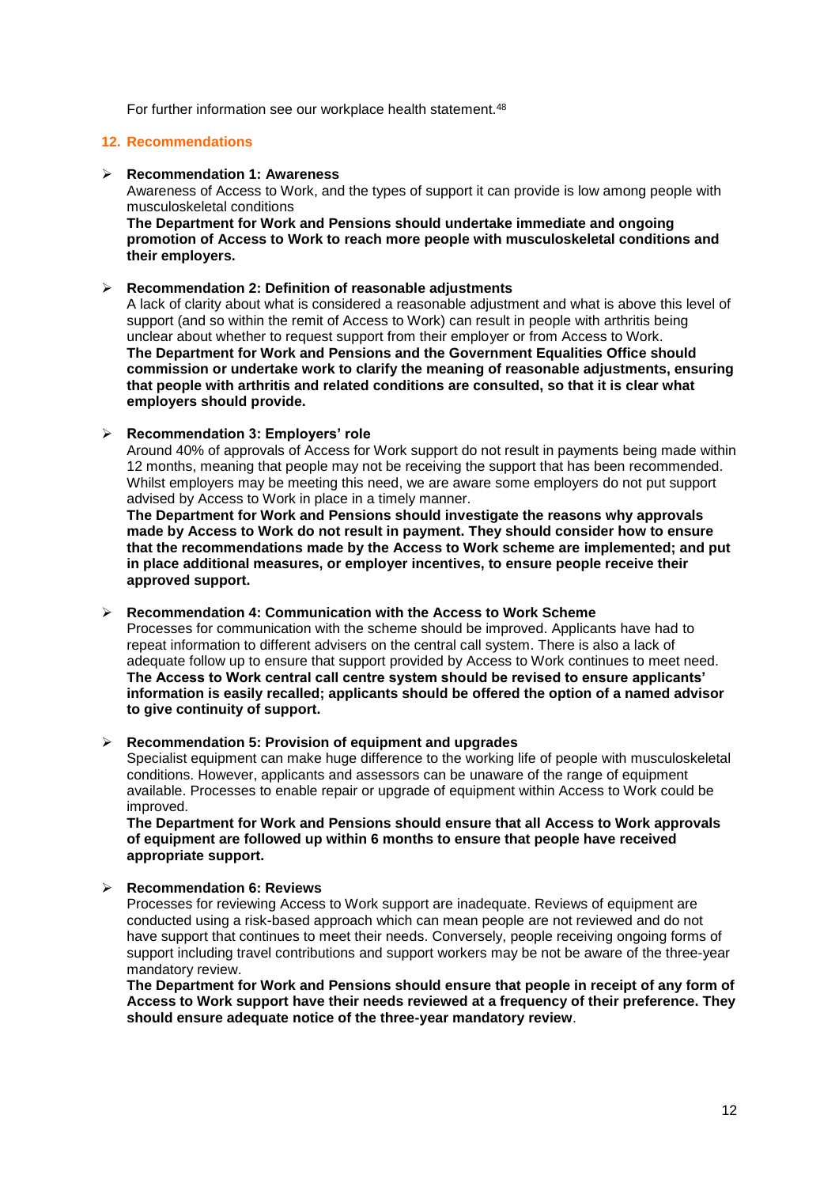For further information see our workplace health statement.<sup>48</sup>

## **12. Recommendations**

#### ➢ **Recommendation 1: Awareness**

Awareness of Access to Work, and the types of support it can provide is low among people with musculoskeletal conditions

**The Department for Work and Pensions should undertake immediate and ongoing promotion of Access to Work to reach more people with musculoskeletal conditions and their employers.** 

## ➢ **Recommendation 2: Definition of reasonable adjustments**

A lack of clarity about what is considered a reasonable adjustment and what is above this level of support (and so within the remit of Access to Work) can result in people with arthritis being unclear about whether to request support from their employer or from Access to Work. **The Department for Work and Pensions and the Government Equalities Office should commission or undertake work to clarify the meaning of reasonable adjustments, ensuring that people with arthritis and related conditions are consulted, so that it is clear what employers should provide.** 

## ➢ **Recommendation 3: Employers' role**

Around 40% of approvals of Access for Work support do not result in payments being made within 12 months, meaning that people may not be receiving the support that has been recommended. Whilst employers may be meeting this need, we are aware some employers do not put support advised by Access to Work in place in a timely manner.

**The Department for Work and Pensions should investigate the reasons why approvals made by Access to Work do not result in payment. They should consider how to ensure that the recommendations made by the Access to Work scheme are implemented; and put in place additional measures, or employer incentives, to ensure people receive their approved support.**

## ➢ **Recommendation 4: Communication with the Access to Work Scheme**

Processes for communication with the scheme should be improved. Applicants have had to repeat information to different advisers on the central call system. There is also a lack of adequate follow up to ensure that support provided by Access to Work continues to meet need. **The Access to Work central call centre system should be revised to ensure applicants' information is easily recalled; applicants should be offered the option of a named advisor to give continuity of support.**

➢ **Recommendation 5: Provision of equipment and upgrades**

Specialist equipment can make huge difference to the working life of people with musculoskeletal conditions. However, applicants and assessors can be unaware of the range of equipment available. Processes to enable repair or upgrade of equipment within Access to Work could be improved.

**The Department for Work and Pensions should ensure that all Access to Work approvals of equipment are followed up within 6 months to ensure that people have received appropriate support.** 

## ➢ **Recommendation 6: Reviews**

Processes for reviewing Access to Work support are inadequate. Reviews of equipment are conducted using a risk-based approach which can mean people are not reviewed and do not have support that continues to meet their needs. Conversely, people receiving ongoing forms of support including travel contributions and support workers may be not be aware of the three-year mandatory review.

**The Department for Work and Pensions should ensure that people in receipt of any form of Access to Work support have their needs reviewed at a frequency of their preference. They should ensure adequate notice of the three-year mandatory review**.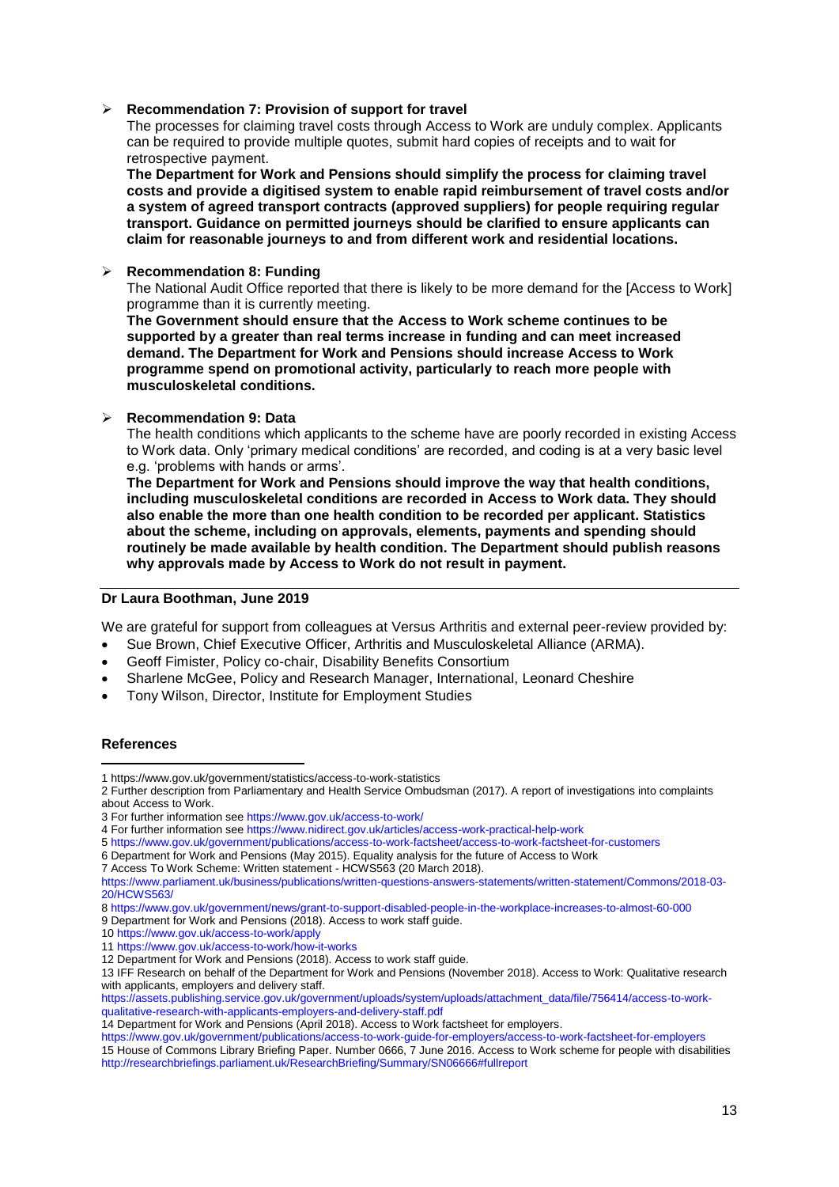## ➢ **Recommendation 7: Provision of support for travel**

The processes for claiming travel costs through Access to Work are unduly complex. Applicants can be required to provide multiple quotes, submit hard copies of receipts and to wait for retrospective payment.

**The Department for Work and Pensions should simplify the process for claiming travel costs and provide a digitised system to enable rapid reimbursement of travel costs and/or a system of agreed transport contracts (approved suppliers) for people requiring regular transport. Guidance on permitted journeys should be clarified to ensure applicants can claim for reasonable journeys to and from different work and residential locations.**

## ➢ **Recommendation 8: Funding**

The National Audit Office reported that there is likely to be more demand for the [Access to Work] programme than it is currently meeting.

**The Government should ensure that the Access to Work scheme continues to be supported by a greater than real terms increase in funding and can meet increased demand. The Department for Work and Pensions should increase Access to Work programme spend on promotional activity, particularly to reach more people with musculoskeletal conditions.**

## ➢ **Recommendation 9: Data**

The health conditions which applicants to the scheme have are poorly recorded in existing Access to Work data. Only 'primary medical conditions' are recorded, and coding is at a very basic level e.g. 'problems with hands or arms'.

**The Department for Work and Pensions should improve the way that health conditions, including musculoskeletal conditions are recorded in Access to Work data. They should also enable the more than one health condition to be recorded per applicant. Statistics about the scheme, including on approvals, elements, payments and spending should routinely be made available by health condition. The Department should publish reasons why approvals made by Access to Work do not result in payment.**

# **Dr Laura Boothman, June 2019**

We are grateful for support from colleagues at Versus Arthritis and external peer-review provided by:

- Sue Brown, Chief Executive Officer, Arthritis and Musculoskeletal Alliance (ARMA).
- Geoff Fimister, Policy co-chair, Disability Benefits Consortium
- Sharlene McGee, Policy and Research Manager, International, Leonard Cheshire
- Tony Wilson, Director, Institute for Employment Studies

# **References**

[https://assets.publishing.service.gov.uk/government/uploads/system/uploads/attachment\\_data/file/756414/access-to-work](https://assets.publishing.service.gov.uk/government/uploads/system/uploads/attachment_data/file/756414/access-to-work-qualitative-research-with-applicants-employers-and-delivery-staff.pdf)[qualitative-research-with-applicants-employers-and-delivery-staff.pdf](https://assets.publishing.service.gov.uk/government/uploads/system/uploads/attachment_data/file/756414/access-to-work-qualitative-research-with-applicants-employers-and-delivery-staff.pdf)

<sup>1</sup> https://www.gov.uk/government/statistics/access-to-work-statistics **.** 

<sup>2</sup> Further description from Parliamentary and Health Service Ombudsman (2017). A report of investigations into complaints about Access to Work.

<sup>3</sup> For further information se[e https://www.gov.uk/access-to-work/](https://www.gov.uk/access-towork/) 

<sup>4</sup> For further information se[e https://www.nidirect.gov.uk/articles/access-work-practical-help-work](https://www.nidirect.gov.uk/articles/access-work-practical-help-work)

<sup>5</sup> <https://www.gov.uk/government/publications/access-to-work-factsheet/access-to-work-factsheet-for-customers> 6 Department for Work and Pensions (May 2015). Equality analysis for the future of Access to Work

<sup>7</sup> Access To Work Scheme: Written statement - HCWS563 (20 March 2018).

[https://www.parliament.uk/business/publications/written-questions-answers-statements/written-statement/Commons/2018-03-](https://www.parliament.uk/business/publications/written-questions-answers-statements/written-statement/Commons/2018-03-20/HCWS563/) [20/HCWS563/](https://www.parliament.uk/business/publications/written-questions-answers-statements/written-statement/Commons/2018-03-20/HCWS563/)

<sup>8</sup> https://www.gov.uk/government/news/grant-to-support-disabled-people-in-the-workplace-increases-to-almost-60-000

<sup>9</sup> Department for Work and Pensions (2018). Access to work staff guide.

<sup>10</sup> <https://www.gov.uk/access-to-work/apply>

<sup>11</sup> <https://www.gov.uk/access-to-work/how-it-works>

<sup>12</sup> Department for Work and Pensions (2018). Access to work staff guide.

<sup>13</sup> IFF Research on behalf of the Department for Work and Pensions (November 2018). Access to Work: Qualitative research with applicants, employers and delivery staff.

<sup>14</sup> Department for Work and Pensions (April 2018). Access to Work factsheet for employers.

<https://www.gov.uk/government/publications/access-to-work-guide-for-employers/access-to-work-factsheet-for-employers> 15 House of Commons Library Briefing Paper. Number 0666, 7 June 2016. Access to Work scheme for people with disabilities <http://researchbriefings.parliament.uk/ResearchBriefing/Summary/SN06666#fullreport>